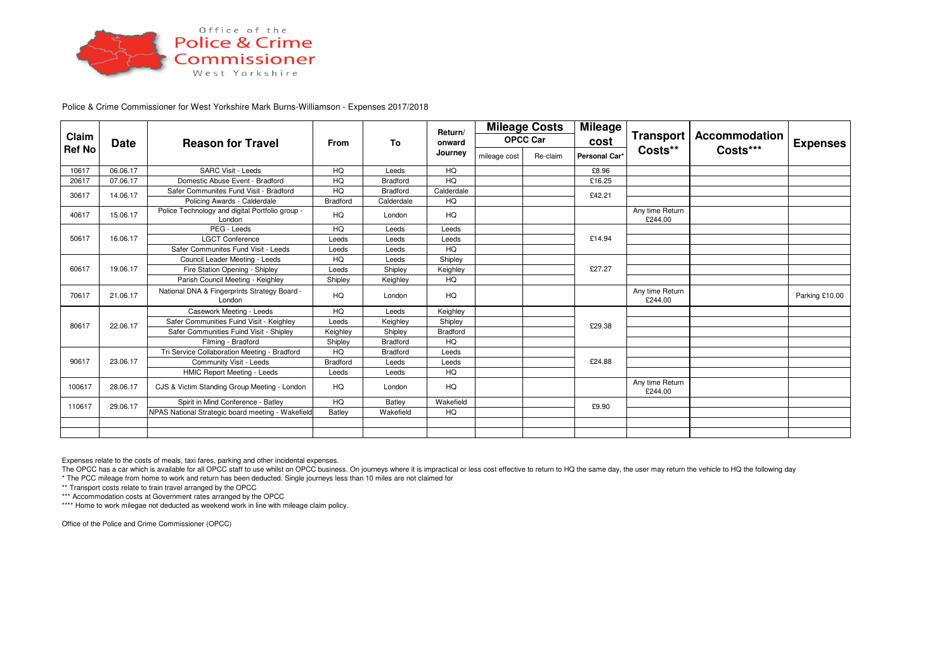

Police & Crime Commissioner for West Yorkshire Mark Burns-Williamson - Expenses 2017/2018

| Claim<br><b>Ref No</b> | Date     | <b>Reason for Travel</b>                                  | <b>From</b>     | To              | Return/<br>onward<br>Journey | <b>Mileage Costs</b><br><b>OPCC Car</b> |          | <b>Mileage</b> | <b>Transport</b>           | Accommodation | <b>Expenses</b> |
|------------------------|----------|-----------------------------------------------------------|-----------------|-----------------|------------------------------|-----------------------------------------|----------|----------------|----------------------------|---------------|-----------------|
|                        |          |                                                           |                 |                 |                              |                                         |          | cost           |                            |               |                 |
|                        |          |                                                           |                 |                 |                              | mileage cost                            | Re-claim | Personal Car*  | Costs**                    | Costs***      |                 |
| 10617                  | 06.06.17 | <b>SARC Visit - Leeds</b>                                 | HQ              | Leeds           | HQ                           |                                         |          | £8.96          |                            |               |                 |
| 20617                  | 07.06.17 | Domestic Abuse Event - Bradford                           | HQ              | Bradford        | HQ                           |                                         |          | £16.25         |                            |               |                 |
| 30617                  | 14.06.17 | Safer Communites Fund Visit - Bradford                    | HQ              | Bradford        | Calderdale                   |                                         |          | £42.21         |                            |               |                 |
|                        |          | Policing Awards - Calderdale                              | <b>Bradford</b> | Calderdale      | HQ                           |                                         |          |                |                            |               |                 |
| 40617                  | 15.06.17 | Police Technology and digital Portfolio group -<br>London | HQ              | London          | HQ                           |                                         |          |                | Any time Return<br>£244.00 |               |                 |
| 50617                  | 16.06.17 | PEG - Leeds                                               | HQ              | Leeds           | Leeds                        |                                         |          | £14.94         |                            |               |                 |
|                        |          | <b>LGCT Conference</b>                                    | Leeds           | Leeds           | Leeds                        |                                         |          |                |                            |               |                 |
|                        |          | Safer Communites Fund Visit - Leeds                       | Leeds           | Leeds           | HQ                           |                                         |          |                |                            |               |                 |
| 60617                  | 19.06.17 | Council Leader Meeting - Leeds                            | HQ              | Leeds           | Shipley                      |                                         |          | £27.27         |                            |               |                 |
|                        |          | Fire Station Opening - Shipley                            | Leeds           | Shipley         | Keighley                     |                                         |          |                |                            |               |                 |
|                        |          | Parish Council Meeting - Keighley                         | Shipley         | Keighley        | HQ                           |                                         |          |                |                            |               |                 |
| 70617                  | 21.06.17 | National DNA & Fingerprints Strategy Board -<br>London    | HQ              | London          | HQ                           |                                         |          |                | Any time Return<br>£244.00 |               | Parking £10.00  |
| 80617                  | 22.06.17 | Casework Meeting - Leeds                                  | HQ              | Leeds           | Keighley                     |                                         |          |                |                            |               |                 |
|                        |          | Safer Communities Fuind Visit - Keighley                  | Leeds           | Keighley        | Shipley                      |                                         |          | £29.38         |                            |               |                 |
|                        |          | Safer Communities Fuind Visit - Shipley                   | Keighley        | Shipley         | <b>Bradford</b>              |                                         |          |                |                            |               |                 |
|                        |          | Filming - Bradford                                        | Shipley         | <b>Bradford</b> | HQ                           |                                         |          |                |                            |               |                 |
| 90617                  | 23.06.17 | Tri Service Collaboration Meeting - Bradford              | HQ              | Bradford        | Leeds                        |                                         |          | £24.88         |                            |               |                 |
|                        |          | Community Visit - Leeds                                   | <b>Bradford</b> | Leeds           | Leeds                        |                                         |          |                |                            |               |                 |
|                        |          | HMIC Report Meeting - Leeds                               | Leeds           | Leeds           | HQ                           |                                         |          |                |                            |               |                 |
| 100617                 | 28.06.17 | CJS & Victim Standing Group Meeting - London              | HQ              | London          | HQ                           |                                         |          |                | Any time Return<br>£244.00 |               |                 |
| 110617                 | 29.06.17 | Spirit in Mind Conference - Batley                        | HQ              | Batley          | Wakefield                    |                                         |          | £9.90          |                            |               |                 |
|                        |          | NPAS National Strategic board meeting - Wakefield         | Batley          | Wakefield       | HQ                           |                                         |          |                |                            |               |                 |
|                        |          |                                                           |                 |                 |                              |                                         |          |                |                            |               |                 |
|                        |          |                                                           |                 |                 |                              |                                         |          |                |                            |               |                 |

Expenses relate to the costs of meals, taxi fares, parking and other incidental expenses.

The OPCC has a car which is available for all OPCC staff to use whilst on OPCC business. On journeys where it is impractical or less cost effective to return to HQ the same day, the user may return the vehicle to HQ the fo \* The PCC mileage from home to work and return has been deducted. Single journeys less than 10 miles are not claimed for

\*\* Transport costs relate to train travel arranged by the OPCC

\*\*\* Accommodation costs at Government rates arranged by the OPCC

\*\*\*\* Home to work milegae not deducted as weekend work in line with mileage claim policy.

Office of the Police and Crime Commissioner (OPCC)